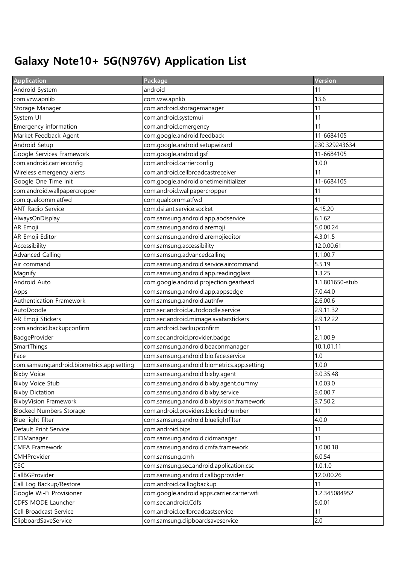## Galaxy Note10+ 5G(N976V) Application List

| <b>Application</b>                         | Package                                     | <b>Version</b>  |
|--------------------------------------------|---------------------------------------------|-----------------|
| Android System                             | android                                     | 11              |
| com.vzw.apnlib                             | com.vzw.apnlib                              | 13.6            |
| Storage Manager                            | com.android.storagemanager                  | 11              |
| System UI                                  | com.android.systemui                        | 11              |
| Emergency information                      | com.android.emergency                       | 11              |
| Market Feedback Agent                      | com.google.android.feedback                 | 11-6684105      |
| Android Setup                              | com.google.android.setupwizard              | 230.329243634   |
| Google Services Framework                  | com.google.android.gsf                      | 11-6684105      |
| com.android.carrierconfig                  | com.android.carrierconfig                   | 1.0.0           |
| Wireless emergency alerts                  | com.android.cellbroadcastreceiver           | 11              |
| Google One Time Init                       | com.google.android.onetimeinitializer       | 11-6684105      |
| com.android.wallpapercropper               | com.android.wallpapercropper                | 11              |
| com.qualcomm.atfwd                         | com.qualcomm.atfwd                          | 11              |
| <b>ANT Radio Service</b>                   | com.dsi.ant.service.socket                  | 4.15.20         |
| AlwaysOnDisplay                            | com.samsung.android.app.aodservice          | 6.1.62          |
| AR Emoji                                   | com.samsung.android.aremoji                 | 5.0.00.24       |
| AR Emoji Editor                            | com.samsung.android.aremojieditor           | 4.3.01.5        |
| Accessibility                              | com.samsung.accessibility                   | 12.0.00.61      |
| <b>Advanced Calling</b>                    | com.samsung.advancedcalling                 | 1.1.00.7        |
| Air command                                | com.samsung.android.service.aircommand      | 5.5.19          |
| Magnify                                    | com.samsung.android.app.readingglass        | 1.3.25          |
| Android Auto                               | com.google.android.projection.gearhead      | 1.1.801650-stub |
| Apps                                       | com.samsung.android.app.appsedge            | 7.0.44.0        |
| Authentication Framework                   | com.samsung.android.authfw                  | 2.6.00.6        |
| AutoDoodle                                 | com.sec.android.autodoodle.service          | 2.9.11.32       |
| AR Emoji Stickers                          | com.sec.android.mimage.avatarstickers       | 2.9.12.22       |
| com.android.backupconfirm                  | com.android.backupconfirm                   | 11              |
| BadgeProvider                              | com.sec.android.provider.badge              | 2.1.00.9        |
| SmartThings                                | com.samsung.android.beaconmanager           | 10.1.01.11      |
| Face                                       | com.samsung.android.bio.face.service        | 1.0             |
| com.samsung.android.biometrics.app.setting | com.samsung.android.biometrics.app.setting  | 1.0.0           |
| <b>Bixby Voice</b>                         | com.samsung.android.bixby.agent             | 3.0.35.48       |
| <b>Bixby Voice Stub</b>                    | com.samsung.android.bixby.agent.dummy       | 1.0.03.0        |
| <b>Bixby Dictation</b>                     | com.samsung.android.bixby.service           | 3.0.00.7        |
| <b>BixbyVision Framework</b>               | com.samsung.android.bixbyvision.framework   | 3.7.50.2        |
| <b>Blocked Numbers Storage</b>             | com.android.providers.blockednumber         | 11              |
| Blue light filter                          | com.samsung.android.bluelightfilter         | 4.0.0           |
| Default Print Service                      | com.android.bips                            | 11              |
| CIDManager                                 | com.samsung.android.cidmanager              | 11              |
| <b>CMFA Framework</b>                      | com.samsung.android.cmfa.framework          | 1.0.00.18       |
| CMHProvider                                | com.samsung.cmh                             | 6.0.54          |
| <b>CSC</b>                                 | com.samsung.sec.android.application.csc     | 1.0.1.0         |
| CallBGProvider                             | com.samsung.android.callbgprovider          | 12.0.00.26      |
| Call Log Backup/Restore                    | com.android.calllogbackup                   | 11              |
| Google Wi-Fi Provisioner                   | com.google.android.apps.carrier.carrierwifi | 1.2.345084952   |
| CDFS MODE Launcher                         | com.sec.android.Cdfs                        | 5.0.01          |
| Cell Broadcast Service                     | com.android.cellbroadcastservice            | 11              |
| ClipboardSaveService                       | com.samsung.clipboardsaveservice            | 2.0             |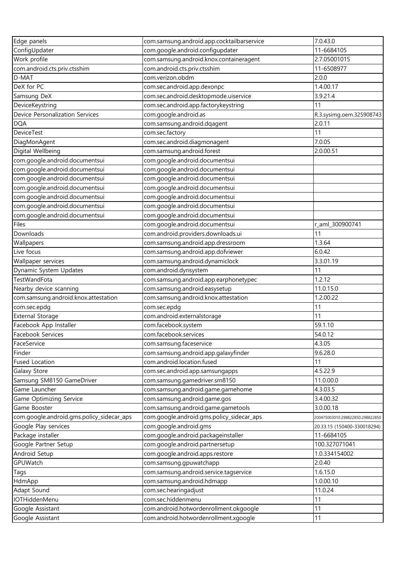| Edge panels                               | com.samsung.android.app.cocktailbarservice | 7.0.43.0                         |
|-------------------------------------------|--------------------------------------------|----------------------------------|
| ConfigUpdater                             | com.google.android.configupdater           | 11-6684105                       |
| Work profile                              | com.samsung.android.knox.containeragent    | 2.7.05001015                     |
| com.android.cts.priv.ctsshim              | com.android.cts.priv.ctsshim               | 11-6508977                       |
| D-MAT                                     | com.verizon.obdm                           | 2.0.0                            |
| DeX for PC                                | com.sec.android.app.dexonpc                | 1.4.00.17                        |
| Samsung DeX                               | com.sec.android.desktopmode.uiservice      | 3.9.21.4                         |
| DeviceKeystring                           | com.sec.android.app.factorykeystring       | 11                               |
| Device Personalization Services           | com.google.android.as                      | R.3.sysimg.oem.325908743         |
| <b>DQA</b>                                | com.samsung.android.dqagent                | 2.0.11                           |
| <b>DeviceTest</b>                         | com.sec.factory                            | 11                               |
| DiagMonAgent                              | com.sec.android.diagmonagent               | 7.0.05                           |
| Digital Wellbeing                         | com.samsung.android.forest                 | 2.0.00.51                        |
| com.google.android.documentsui            | com.google.android.documentsui             |                                  |
| com.google.android.documentsui            | com.google.android.documentsui             |                                  |
| com.google.android.documentsui            | com.google.android.documentsui             |                                  |
| com.google.android.documentsui            | com.google.android.documentsui             |                                  |
| com.google.android.documentsui            | com.google.android.documentsui             |                                  |
| com.google.android.documentsui            | com.google.android.documentsui             |                                  |
| com.google.android.documentsui            | com.google.android.documentsui             |                                  |
| Files                                     | com.google.android.documentsui             | r_aml_300900741                  |
| Downloads                                 | com.android.providers.downloads.ui         | 11                               |
| Wallpapers                                | com.samsung.android.app.dressroom          | 1.3.64                           |
| Live focus                                | com.samsung.android.app.dofviewer          | 6.0.42                           |
| Wallpaper services                        | com.samsung.android.dynamiclock            | 3.3.01.19                        |
| Dynamic System Updates                    | com.android.dynsystem                      | 11                               |
| TestWandFota                              | com.samsung.android.app.earphonetypec      | 1.2.12                           |
| Nearby device scanning                    | com.samsung.android.easysetup              | 11.0.15.0                        |
| com.samsung.android.knox.attestation      | com.samsung.android.knox.attestation       | 1.2.00.22                        |
| com.sec.epdg                              | com.sec.epdg                               | 11                               |
| <b>External Storage</b>                   | com.android.externalstorage                | 11                               |
| Facebook App Installer                    | com.facebook.system                        | 59.1.10                          |
| Facebook Services                         | com.facebook.services                      | 54.0.12                          |
| FaceService                               | com.samsung.faceservice                    | 4.3.05                           |
| Finder                                    | com.samsung.android.app.galaxyfinder       | 9.6.28.0                         |
| <b>Fused Location</b>                     | com.android.location.fused                 | 11                               |
| Galaxy Store                              | com.sec.android.app.samsungapps            | 4.5.22.9                         |
| Samsung SM8150 GameDriver                 | com.samsung.gamedriver.sm8150              | 11.0.00.0                        |
| Game Launcher                             | com.samsung.android.game.gamehome          | 4.3.03.5                         |
| Game Optimizing Service                   | com.samsung.android.game.gos               | 3.4.00.32                        |
| Game Booster                              | com.samsung.android.game.gametools         | 3.0.00.18                        |
| com.google.android.gms.policy_sidecar_aps | com.google.android.gms.policy_sidecar_aps  | 200475003010.298822850.298822850 |
| Google Play services                      | com.google.android.gms                     | 20.33.15 (150400-330018294)      |
| Package installer                         | com.google.android.packageinstaller        | 11-6684105                       |
| Google Partner Setup                      | com.google.android.partnersetup            | 100.327071041                    |
| Android Setup                             | com.google.android.apps.restore            | 1.0.334154002                    |
| GPUWatch                                  | com.samsung.gpuwatchapp                    | 2.0.40                           |
| Tags                                      | com.samsung.android.service.tagservice     | 1.6.15.0                         |
| HdmApp                                    | com.samsung.android.hdmapp                 | 1.0.00.10                        |
| Adapt Sound                               | com.sec.hearingadjust                      | 11.0.24                          |
| IOTHiddenMenu                             | com.sec.hiddenmenu                         | 11                               |
| Google Assistant                          | com.android.hotwordenrollment.okgoogle     | 11                               |
| Google Assistant                          | com.android.hotwordenrollment.xgoogle      | 11                               |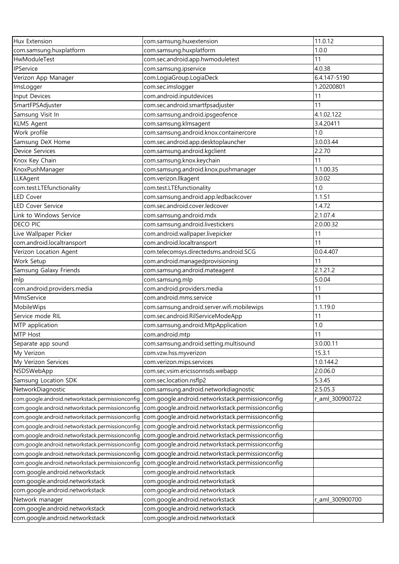| Hux Extension                                    | com.samsung.huxextension                         | 11.0.12         |
|--------------------------------------------------|--------------------------------------------------|-----------------|
| com.samsung.huxplatform                          | com.samsung.huxplatform                          | 1.0.0           |
| HwModuleTest                                     | com.sec.android.app.hwmoduletest                 | 11              |
| IPService                                        | com.samsung.ipservice                            | 4.0.38          |
| Verizon App Manager                              | com.LogiaGroup.LogiaDeck                         | 6.4.147-5190    |
| ImsLogger                                        | com.sec.imslogger                                | 1.20200801      |
| Input Devices                                    | com.android.inputdevices                         | 11              |
| SmartFPSAdjuster                                 | com.sec.android.smartfpsadjuster                 | 11              |
| Samsung Visit In                                 | com.samsung.android.ipsgeofence                  | 4.1.02.122      |
| <b>KLMS Agent</b>                                | com.samsung.klmsagent                            | 3.4.20411       |
| Work profile                                     |                                                  | 1.0             |
|                                                  | com.samsung.android.knox.containercore           |                 |
| Samsung DeX Home                                 | com.sec.android.app.desktoplauncher              | 3.0.03.44       |
| <b>Device Services</b>                           | com.samsung.android.kgclient                     | 2.2.70          |
| Knox Key Chain                                   | com.samsung.knox.keychain                        | 11              |
| KnoxPushManager                                  | com.samsung.android.knox.pushmanager             | 1.1.00.35       |
| LLKAgent                                         | com.verizon.llkagent                             | 3.0.02          |
| com.test.LTEfunctionality                        | com.test.LTEfunctionality                        | 1.0             |
| LED Cover                                        | com.samsung.android.app.ledbackcover             | 1.1.51          |
| <b>LED Cover Service</b>                         | com.sec.android.cover.ledcover                   | 1.4.72          |
| Link to Windows Service                          | com.samsung.android.mdx                          | 2.1.07.4        |
| <b>DECO PIC</b>                                  | com.samsung.android.livestickers                 | 2.0.00.32       |
| Live Wallpaper Picker                            | com.android.wallpaper.livepicker                 | 11              |
| com.android.localtransport                       | com.android.localtransport                       | 11              |
| Verizon Location Agent                           | com.telecomsys.directedsms.android.SCG           | 0.0.4.407       |
| Work Setup                                       | com.android.managedprovisioning                  | 11              |
| Samsung Galaxy Friends                           | com.samsung.android.mateagent                    | 2.1.21.2        |
| mlp                                              | com.samsung.mlp                                  | 5.0.04          |
| com.android.providers.media                      | com.android.providers.media                      | 11              |
| MmsService                                       | com.android.mms.service                          | 11              |
| MobileWips                                       | com.samsung.android.server.wifi.mobilewips       | 1.1.19.0        |
| Service mode RIL                                 | com.sec.android.RilServiceModeApp                | 11              |
| MTP application                                  | com.samsung.android.MtpApplication               | 1.0             |
| MTP Host                                         | com.android.mtp                                  | 11              |
| Separate app sound                               | com.samsung.android.setting.multisound           | 3.0.00.11       |
| My Verizon                                       | com.vzw.hss.myverizon                            | 15.3.1          |
| My Verizon Services                              | com.verizon.mips.services                        | 1.0.144.2       |
| NSDSWebApp                                       | com.sec.vsim.ericssonnsds.webapp                 | 2.0.06.0        |
| Samsung Location SDK                             | com.sec.location.nsflp2                          | 5.3.45          |
| NetworkDiagnostic                                | com.samsung.android.networkdiagnostic            | 2.5.05.3        |
| com.google.android.networkstack.permissionconfig | com.google.android.networkstack.permissionconfig | r_aml_300900722 |
| com.google.android.networkstack.permissionconfiq | com.google.android.networkstack.permissionconfig |                 |
| com.google.android.networkstack.permissionconfig | com.google.android.networkstack.permissionconfig |                 |
| com.google.android.networkstack.permissionconfig | com.google.android.networkstack.permissionconfig |                 |
| com.google.android.networkstack.permissionconfig | com.google.android.networkstack.permissionconfig |                 |
| com.google.android.networkstack.permissionconfig | com.google.android.networkstack.permissionconfig |                 |
| com.google.android.networkstack.permissionconfig | com.google.android.networkstack.permissionconfig |                 |
| com.google.android.networkstack.permissionconfig | com.google.android.networkstack.permissionconfig |                 |
| com.google.android.networkstack                  | com.google.android.networkstack                  |                 |
| com.google.android.networkstack                  | com.google.android.networkstack                  |                 |
| com.google.android.networkstack                  | com.google.android.networkstack                  |                 |
|                                                  |                                                  |                 |
| Network manager                                  | com.google.android.networkstack                  | r_aml_300900700 |
| com.google.android.networkstack                  | com.google.android.networkstack                  |                 |
| com.google.android.networkstack                  | com.google.android.networkstack                  |                 |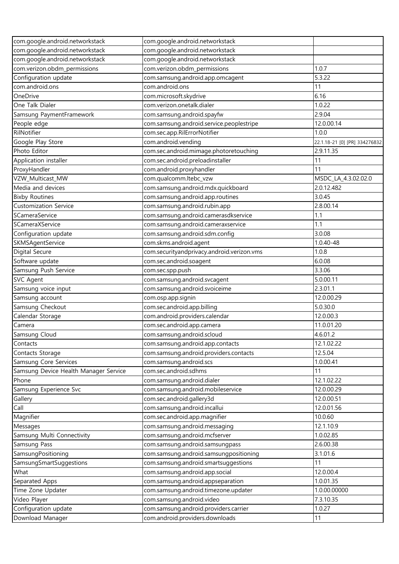| com.google.android.networkstack       | com.google.android.networkstack            |                               |
|---------------------------------------|--------------------------------------------|-------------------------------|
| com.google.android.networkstack       | com.google.android.networkstack            |                               |
| com.google.android.networkstack       | com.google.android.networkstack            |                               |
| com.verizon.obdm_permissions          | com.verizon.obdm_permissions               | 1.0.7                         |
| Configuration update                  | com.samsung.android.app.omcagent           | 5.3.22                        |
| com.android.ons                       | com.android.ons                            | 11                            |
| OneDrive                              | com.microsoft.skydrive                     | 6.16                          |
| One Talk Dialer                       | com.verizon.onetalk.dialer                 | 1.0.22                        |
| Samsung PaymentFramework              | com.samsung.android.spayfw                 | 2.9.04                        |
| People edge                           | com.samsung.android.service.peoplestripe   | 12.0.00.14                    |
| RilNotifier                           | com.sec.app.RilErrorNotifier               | 1.0.0                         |
| Google Play Store                     | com.android.vending                        | 22.1.18-21 [0] [PR] 334276832 |
| Photo Editor                          | com.sec.android.mimage.photoretouching     | 2.9.11.35                     |
| Application installer                 | com.sec.android.preloadinstaller           | 11                            |
| ProxyHandler                          | com.android.proxyhandler                   | 11                            |
| VZW_Multicast_MW                      | com.qualcomm.ltebc_vzw                     | MSDC_LA_4.3.02.02.0           |
| Media and devices                     | com.samsung.android.mdx.quickboard         | 2.0.12.482                    |
| <b>Bixby Routines</b>                 | com.samsung.android.app.routines           | 3.0.45                        |
| <b>Customization Service</b>          | com.samsung.android.rubin.app              | 2.8.00.14                     |
| SCameraService                        | com.samsung.android.camerasdkservice       | 1.1                           |
| SCameraXService                       | com.samsung.android.cameraxservice         | 1.1                           |
| Configuration update                  | com.samsung.android.sdm.config             | 3.0.08                        |
| SKMSAgentService                      | com.skms.android.agent                     | 1.0.40-48                     |
| <b>Digital Secure</b>                 | com.securityandprivacy.android.verizon.vms | 1.0.8                         |
| Software update                       | com.sec.android.soagent                    | 6.0.08                        |
| Samsung Push Service                  | com.sec.spp.push                           | 3.3.06                        |
| <b>SVC Agent</b>                      | com.samsung.android.svcagent               | 5.0.00.11                     |
| Samsung voice input                   | com.samsung.android.svoiceime              | 2.3.01.1                      |
| Samsung account                       | com.osp.app.signin                         | 12.0.00.29                    |
| Samsung Checkout                      | com.sec.android.app.billing                | 5.0.30.0                      |
| Calendar Storage                      | com.android.providers.calendar             | 12.0.00.3                     |
| Camera                                | com.sec.android.app.camera                 | 11.0.01.20                    |
| Samsung Cloud                         | com.samsung.android.scloud                 | 4.6.01.2                      |
| Contacts                              | com.samsung.android.app.contacts           | 12.1.02.22                    |
| Contacts Storage                      | com.samsung.android.providers.contacts     | 12.5.04                       |
| Samsung Core Services                 | com.samsung.android.scs                    | 1.0.00.41                     |
| Samsung Device Health Manager Service | com.sec.android.sdhms                      | 11                            |
| Phone                                 | com.samsung.android.dialer                 | 12.1.02.22                    |
| Samsung Experience Svc                | com.samsung.android.mobileservice          | 12.0.00.29                    |
| Gallery                               | com.sec.android.gallery3d                  | 12.0.00.51                    |
| Call                                  | com.samsung.android.incallui               | 12.0.01.56                    |
| Magnifier                             | com.sec.android.app.magnifier              | 10.0.60                       |
| Messages                              | com.samsung.android.messaging              | 12.1.10.9                     |
| Samsung Multi Connectivity            | com.samsung.android.mcfserver              | 1.0.02.85                     |
| Samsung Pass                          | com.samsung.android.samsungpass            | 2.6.00.38                     |
| SamsungPositioning                    | com.samsung.android.samsungpositioning     | 3.1.01.6                      |
| SamsungSmartSuggestions               | com.samsung.android.smartsuggestions       | 11                            |
| What                                  | com.samsung.android.app.social             | 12.0.00.4                     |
| Separated Apps                        | com.samsung.android.appseparation          | 1.0.01.35                     |
| Time Zone Updater                     | com.samsung.android.timezone.updater       | 1.0.00.00000                  |
| Video Player                          | com.samsung.android.video                  | 7.3.10.35                     |
| Configuration update                  | com.samsung.android.providers.carrier      | 1.0.27                        |
| Download Manager                      | com.android.providers.downloads            | 11                            |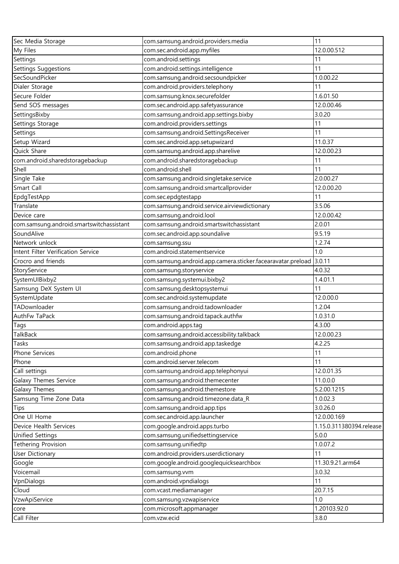| Sec Media Storage                        | com.samsung.android.providers.media                         | 11                       |
|------------------------------------------|-------------------------------------------------------------|--------------------------|
| My Files                                 | com.sec.android.app.myfiles                                 | 12.0.00.512              |
| Settings                                 | com.android.settings                                        | 11                       |
| Settings Suggestions                     | com.android.settings.intelligence                           | 11                       |
| SecSoundPicker                           | com.samsung.android.secsoundpicker                          | 1.0.00.22                |
| Dialer Storage                           | com.android.providers.telephony                             | 11                       |
| Secure Folder                            | com.samsung.knox.securefolder                               | 1.6.01.50                |
| Send SOS messages                        | com.sec.android.app.safetyassurance                         | 12.0.00.46               |
| SettingsBixby                            | com.samsung.android.app.settings.bixby                      | 3.0.20                   |
| Settings Storage                         | com.android.providers.settings                              | 11                       |
| Settings                                 | com.samsung.android.SettingsReceiver                        | 11                       |
| Setup Wizard                             | com.sec.android.app.setupwizard                             | 11.0.37                  |
| Quick Share                              | com.samsung.android.app.sharelive                           | 12.0.00.23               |
| com.android.sharedstoragebackup          | com.android.sharedstoragebackup                             | 11                       |
| Shell                                    | com.android.shell                                           | 11                       |
| Single Take                              | com.samsung.android.singletake.service                      | 2.0.00.27                |
| Smart Call                               | com.samsung.android.smartcallprovider                       | 12.0.00.20               |
| EpdgTestApp                              | com.sec.epdgtestapp                                         | 11                       |
| Translate                                | com.samsung.android.service.airviewdictionary               | 3.5.06                   |
| Device care                              | com.samsung.android.lool                                    | 12.0.00.42               |
| com.samsung.android.smartswitchassistant | com.samsung.android.smartswitchassistant                    | 2.0.01                   |
| SoundAlive                               | com.sec.android.app.soundalive                              | 9.5.19                   |
| Network unlock                           | com.samsung.ssu                                             | 1.2.74                   |
| Intent Filter Verification Service       | com.android.statementservice                                | 1.0                      |
| Crocro and friends                       | com.samsung.android.app.camera.sticker.facearavatar.preload | 3.0.11                   |
| StoryService                             | com.samsung.storyservice                                    | 4.0.32                   |
| SystemUIBixby2                           | com.samsung.systemui.bixby2                                 | 1.4.01.1                 |
| Samsung DeX System UI                    | com.samsung.desktopsystemui                                 | 11                       |
| SystemUpdate                             | com.sec.android.systemupdate                                | 12.0.00.0                |
| TADownloader                             | com.samsung.android.tadownloader                            | 1.2.04                   |
| AuthFw TaPack                            | com.samsung.android.tapack.authfw                           | 1.0.31.0                 |
| Tags                                     | com.android.apps.tag                                        | 4.3.00                   |
| <b>TalkBack</b>                          | com.samsung.android.accessibility.talkback                  | 12.0.00.23               |
| Tasks                                    | com.samsung.android.app.taskedge                            | 4.2.25                   |
| Phone Services                           | com.android.phone                                           | 11                       |
| Phone                                    | com.android.server.telecom                                  | 11                       |
| Call settings                            | com.samsung.android.app.telephonyui                         | 12.0.01.35               |
| Galaxy Themes Service                    | com.samsung.android.themecenter                             | 11.0.0.0                 |
| Galaxy Themes                            | com.samsung.android.themestore                              | 5.2.00.1215              |
| Samsung Time Zone Data                   | com.samsung.android.timezone.data_R                         | 1.0.02.3                 |
| Tips                                     | com.samsung.android.app.tips                                | 3.0.26.0                 |
| One UI Home                              | com.sec.android.app.launcher                                | 12.0.00.169              |
| Device Health Services                   | com.google.android.apps.turbo                               | 1.15.0.311380394.release |
| Unified Settings                         | com.samsung.unifiedsettingservice                           | 5.0.0                    |
| <b>Tethering Provision</b>               | com.samsung.unifiedtp                                       | 1.0.07.2                 |
| <b>User Dictionary</b>                   | com.android.providers.userdictionary                        | 11                       |
| Google                                   | com.google.android.googlequicksearchbox                     | 11.30.9.21.arm64         |
| Voicemail                                | com.samsung.vvm                                             | 3.0.32                   |
| VpnDialogs                               | com.android.vpndialogs                                      | 11                       |
| Cloud                                    | com.vcast.mediamanager                                      | 20.7.15                  |
| VzwApiService                            | com.samsung.vzwapiservice                                   | 1.0                      |
| core                                     | com.microsoft.appmanager                                    | 1.20103.92.0             |
| Call Filter                              | com.vzw.ecid                                                | 3.8.0                    |
|                                          |                                                             |                          |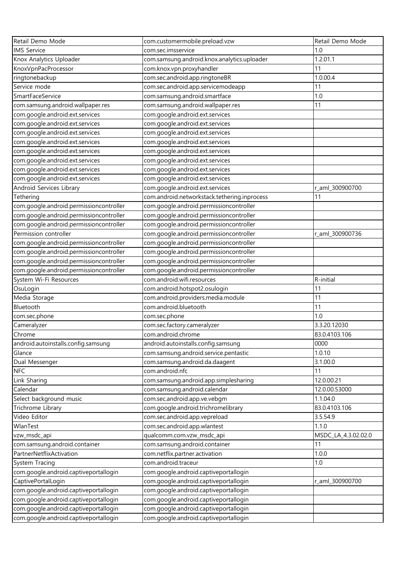| Retail Demo Mode                        | com.customermobile.preload.vzw               | Retail Demo Mode    |
|-----------------------------------------|----------------------------------------------|---------------------|
| <b>IMS</b> Service                      | com.sec.imsservice                           | 1.0                 |
| Knox Analytics Uploader                 | com.samsung.android.knox.analytics.uploader  | 1.2.01.1            |
| KnoxVpnPacProcessor                     | com.knox.vpn.proxyhandler                    | 11                  |
| ringtonebackup                          | com.sec.android.app.ringtoneBR               | 1.0.00.4            |
| Service mode                            | com.sec.android.app.servicemodeapp           | 11                  |
| SmartFaceService                        | com.samsung.android.smartface                | 1.0                 |
| com.samsung.android.wallpaper.res       | com.samsung.android.wallpaper.res            | 11                  |
| com.google.android.ext.services         | com.google.android.ext.services              |                     |
| com.google.android.ext.services         | com.google.android.ext.services              |                     |
| com.google.android.ext.services         | com.google.android.ext.services              |                     |
| com.google.android.ext.services         | com.google.android.ext.services              |                     |
| com.google.android.ext.services         | com.google.android.ext.services              |                     |
| com.google.android.ext.services         | com.google.android.ext.services              |                     |
| com.google.android.ext.services         | com.google.android.ext.services              |                     |
| com.google.android.ext.services         | com.google.android.ext.services              |                     |
| Android Services Library                | com.google.android.ext.services              | r_aml_300900700     |
| Tethering                               | com.android.networkstack.tethering.inprocess | 11                  |
| com.google.android.permissioncontroller | com.google.android.permissioncontroller      |                     |
| com.google.android.permissioncontroller | com.google.android.permissioncontroller      |                     |
| com.google.android.permissioncontroller | com.google.android.permissioncontroller      |                     |
| Permission controller                   | com.google.android.permissioncontroller      | r_aml_300900736     |
| com.google.android.permissioncontroller | com.google.android.permissioncontroller      |                     |
| com.google.android.permissioncontroller | com.google.android.permissioncontroller      |                     |
| com.google.android.permissioncontroller | com.google.android.permissioncontroller      |                     |
| com.google.android.permissioncontroller | com.google.android.permissioncontroller      |                     |
| System Wi-Fi Resources                  | com.android.wifi.resources                   | R-initial           |
| OsuLogin                                | com.android.hotspot2.osulogin                | 11                  |
| Media Storage                           | com.android.providers.media.module           | 11                  |
| Bluetooth                               | com.android.bluetooth                        | 11                  |
| com.sec.phone                           | com.sec.phone                                | 1.0                 |
| Cameralyzer                             | com.sec.factory.cameralyzer                  | 3.3.20.12030        |
| Chrome                                  | com.android.chrome                           | 83.0.4103.106       |
| android.autoinstalls.config.samsung     | android.autoinstalls.config.samsung          | 0000                |
| Glance                                  | com.samsung.android.service.pentastic        | 1.0.10              |
| Dual Messenger                          | com.samsung.android.da.daagent               | 3.1.00.0            |
| <b>NFC</b>                              | com.android.nfc                              | 11                  |
| Link Sharing                            | com.samsung.android.app.simplesharing        | 12.0.00.21          |
| Calendar                                | com.samsung.android.calendar                 | 12.0.00.53000       |
| Select background music                 | com.sec.android.app.ve.vebgm                 | 1.1.04.0            |
| Trichrome Library                       | com.google.android.trichromelibrary          | 83.0.4103.106       |
| Video Editor                            | com.sec.android.app.vepreload                | 3.5.54.9            |
| WlanTest                                | com.sec.android.app.wlantest                 | 1.1.0               |
| vzw_msdc_api                            | qualcomm.com.vzw_msdc_api                    | MSDC_LA_4.3.02.02.0 |
| com.samsung.android.container           | com.samsung.android.container                | 11                  |
| PartnerNetflixActivation                | com.netflix.partner.activation               | 1.0.0               |
| System Tracing                          | com.android.traceur                          | 1.0                 |
| com.google.android.captiveportallogin   | com.google.android.captiveportallogin        |                     |
| CaptivePortalLogin                      | com.google.android.captiveportallogin        | r_aml_300900700     |
| com.google.android.captiveportallogin   | com.google.android.captiveportallogin        |                     |
| com.google.android.captiveportallogin   | com.google.android.captiveportallogin        |                     |
| com.google.android.captiveportallogin   | com.google.android.captiveportallogin        |                     |
| com.google.android.captiveportallogin   | com.google.android.captiveportallogin        |                     |
|                                         |                                              |                     |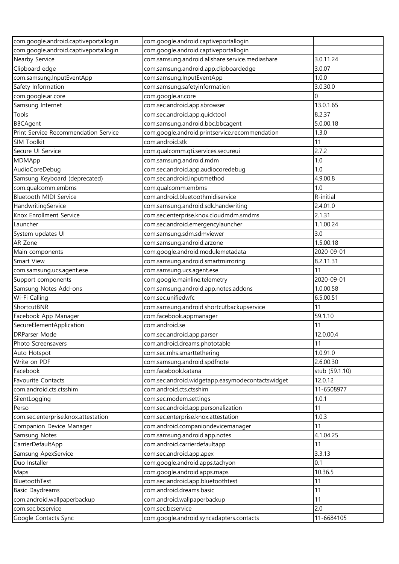| com.google.android.captiveportallogin | com.google.android.captiveportallogin            |                |
|---------------------------------------|--------------------------------------------------|----------------|
| com.google.android.captiveportallogin | com.google.android.captiveportallogin            |                |
| Nearby Service                        | com.samsung.android.allshare.service.mediashare  | 3.0.11.24      |
| Clipboard edge                        | com.samsung.android.app.clipboardedge            | 3.0.07         |
| com.samsung.InputEventApp             | com.samsung.InputEventApp                        | 1.0.0          |
| Safety Information                    | com.samsung.safetyinformation                    | 3.0.30.0       |
| com.google.ar.core                    | com.google.ar.core                               | 0              |
| Samsung Internet                      | com.sec.android.app.sbrowser                     | 13.0.1.65      |
| Tools                                 | com.sec.android.app.quicktool                    | 8.2.37         |
| <b>BBCAgent</b>                       | com.samsung.android.bbc.bbcagent                 | 5.0.00.18      |
| Print Service Recommendation Service  | com.google.android.printservice.recommendation   | 1.3.0          |
| SIM Toolkit                           | com.android.stk                                  | 11             |
| Secure UI Service                     | com.qualcomm.qti.services.secureui               | 2.7.2          |
| MDMApp                                | com.samsung.android.mdm                          | 1.0            |
| AudioCoreDebug                        | com.sec.android.app.audiocoredebug               | 1.0            |
| Samsung Keyboard (deprecated)         | com.sec.android.inputmethod                      | 4.9.00.8       |
| com.qualcomm.embms                    | com.qualcomm.embms                               | 1.0            |
| <b>Bluetooth MIDI Service</b>         | com.android.bluetoothmidiservice                 | R-initial      |
| HandwritingService                    | com.samsung.android.sdk.handwriting              | 2.4.01.0       |
| Knox Enrollment Service               | com.sec.enterprise.knox.cloudmdm.smdms           | 2.1.31         |
| Launcher                              | com.sec.android.emergencylauncher                | 1.1.00.24      |
| System updates UI                     | com.samsung.sdm.sdmviewer                        | 3.0            |
| AR Zone                               | com.samsung.android.arzone                       | 1.5.00.18      |
| Main components                       | com.google.android.modulemetadata                | 2020-09-01     |
| Smart View                            | com.samsung.android.smartmirroring               | 8.2.11.31      |
| com.samsung.ucs.agent.ese             | com.samsung.ucs.agent.ese                        | 11             |
| Support components                    | com.google.mainline.telemetry                    | 2020-09-01     |
| Samsung Notes Add-ons                 | com.samsung.android.app.notes.addons             | 1.0.00.58      |
| Wi-Fi Calling                         | com.sec.unifiedwfc                               | 6.5.00.51      |
| ShortcutBNR                           | com.samsung.android.shortcutbackupservice        | 11             |
| Facebook App Manager                  | com.facebook.appmanager                          | 59.1.10        |
| SecureElementApplication              | com.android.se                                   | 11             |
| <b>DRParser Mode</b>                  | com.sec.android.app.parser                       | 12.0.00.4      |
| Photo Screensavers                    | com.android.dreams.phototable                    | 11             |
| Auto Hotspot                          | com.sec.mhs.smarttethering                       | 1.0.91.0       |
| Write on PDF                          | com.samsung.android.spdfnote                     | 2.6.00.30      |
| Facebook                              | com.facebook.katana                              | stub (59.1.10) |
| Favourite Contacts                    | com.sec.android.widgetapp.easymodecontactswidget | 12.0.12        |
| com.android.cts.ctsshim               | com.android.cts.ctsshim                          | 11-6508977     |
| SilentLogging                         | com.sec.modem.settings                           | 1.0.1          |
| Perso                                 | com.sec.android.app.personalization              | 11             |
| com.sec.enterprise.knox.attestation   | com.sec.enterprise.knox.attestation              | 1.0.3          |
| Companion Device Manager              | com.android.companiondevicemanager               | 11             |
| Samsung Notes                         | com.samsung.android.app.notes                    | 4.1.04.25      |
| CarrierDefaultApp                     | com.android.carrierdefaultapp                    | 11             |
| Samsung ApexService                   | com.sec.android.app.apex                         | 3.3.13         |
| Duo Installer                         | com.google.android.apps.tachyon                  | 0.1            |
| Maps                                  | com.google.android.apps.maps                     | 10.36.5        |
| BluetoothTest                         | com.sec.android.app.bluetoothtest                | 11             |
| <b>Basic Daydreams</b>                | com.android.dreams.basic                         | 11             |
| com.android.wallpaperbackup           | com.android.wallpaperbackup                      | 11             |
| com.sec.bcservice                     | com.sec.bcservice                                | 2.0            |
| Google Contacts Sync                  | com.google.android.syncadapters.contacts         | 11-6684105     |
|                                       |                                                  |                |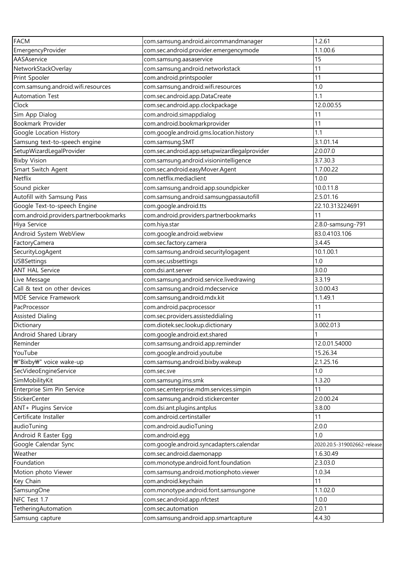| <b>FACM</b>                            | com.samsung.android.aircommandmanager                          | 1.2.61                      |
|----------------------------------------|----------------------------------------------------------------|-----------------------------|
| EmergencyProvider                      | com.sec.android.provider.emergencymode                         | 1.1.00.6                    |
| AASAservice                            | com.samsung.aasaservice                                        | 15                          |
| NetworkStackOverlay                    | com.samsung.android.networkstack                               | 11                          |
| Print Spooler                          | com.android.printspooler                                       | 11                          |
| com.samsung.android.wifi.resources     | com.samsung.android.wifi.resources                             | 1.0                         |
| <b>Automation Test</b>                 | com.sec.android.app.DataCreate                                 | 1.1                         |
| Clock                                  | com.sec.android.app.clockpackage                               | 12.0.00.55                  |
| Sim App Dialog                         | com.android.simappdialog                                       | 11                          |
| Bookmark Provider                      | com.android.bookmarkprovider                                   | 11                          |
| Google Location History                | com.google.android.gms.location.history                        | 1.1                         |
| Samsung text-to-speech engine          | com.samsung.SMT                                                | 3.1.01.14                   |
| SetupWizardLegalProvider               | com.sec.android.app.setupwizardlegalprovider                   | 2.0.07.0                    |
| <b>Bixby Vision</b>                    | com.samsung.android.visionintelligence                         | 3.7.30.3                    |
| Smart Switch Agent                     | com.sec.android.easyMover.Agent                                | 1.7.00.22                   |
| Netflix                                | com.netflix.mediaclient                                        | 1.0.0                       |
| Sound picker                           | com.samsung.android.app.soundpicker                            | 10.0.11.8                   |
| Autofill with Samsung Pass             | com.samsung.android.samsungpassautofill                        | 2.5.01.16                   |
| Google Text-to-speech Engine           | com.google.android.tts                                         | 22.10.313224691             |
| com.android.providers.partnerbookmarks | com.android.providers.partnerbookmarks                         | 11                          |
| Hiya Service                           | com.hiya.star                                                  | 2.8.0-samsung-791           |
| Android System WebView                 | com.google.android.webview                                     | 83.0.4103.106               |
| FactoryCamera                          | com.sec.factory.camera                                         | 3.4.45                      |
| SecurityLogAgent                       | com.samsung.android.securitylogagent                           | 10.1.00.1                   |
| <b>USBSettings</b>                     | com.sec.usbsettings                                            | 1.0                         |
| <b>ANT HAL Service</b>                 | com.dsi.ant.server                                             | 3.0.0                       |
| Live Message                           | com.samsung.android.service.livedrawing                        | 3.3.19                      |
| Call & text on other devices           | com.samsung.android.mdecservice                                | 3.0.00.43                   |
| <b>MDE Service Framework</b>           | com.samsung.android.mdx.kit                                    | 1.1.49.1                    |
| PacProcessor                           | com.android.pacprocessor                                       | 11                          |
| <b>Assisted Dialing</b>                | com.sec.providers.assisteddialing                              | 11                          |
| Dictionary                             | com.diotek.sec.lookup.dictionary                               | 3.002.013                   |
| Android Shared Library                 |                                                                | $\mathbf{1}$                |
|                                        | com.google.android.ext.shared                                  | 12.0.01.54000               |
| Reminder<br>YouTube                    | com.samsung.android.app.reminder<br>com.google.android.youtube | 15.26.34                    |
|                                        |                                                                |                             |
| ₩"Bixby₩" voice wake-up                | com.samsung.android.bixby.wakeup                               | 2.1.25.16                   |
| SecVideoEngineService                  | com.sec.sve                                                    | 1.0                         |
| SimMobilityKit                         | com.samsung.ims.smk                                            | 1.3.20                      |
| Enterprise Sim Pin Service             | com.sec.enterprise.mdm.services.simpin                         | 11                          |
| <b>StickerCenter</b>                   | com.samsung.android.stickercenter                              | 2.0.00.24                   |
| ANT+ Plugins Service                   | com.dsi.ant.plugins.antplus                                    | 3.8.00                      |
| Certificate Installer                  | com.android.certinstaller                                      | 11                          |
| audioTuning                            | com.android.audioTuning                                        | 2.0.0                       |
| Android R Easter Egg                   | com.android.egg                                                | 1.0                         |
| Google Calendar Sync                   | com.google.android.syncadapters.calendar                       | 2020.20.5-319002662-release |
| Weather                                | com.sec.android.daemonapp                                      | 1.6.30.49                   |
| Foundation                             | com.monotype.android.font.foundation                           | 2.3.03.0                    |
| Motion photo Viewer                    | com.samsung.android.motionphoto.viewer                         | 1.0.34                      |
| Key Chain                              | com.android.keychain                                           | 11                          |
| SamsungOne                             | com.monotype.android.font.samsungone                           | 1.1.02.0                    |
| NFC Test 1.7                           | com.sec.android.app.nfctest                                    | 1.0.0                       |
| TetheringAutomation                    | com.sec.automation                                             | 2.0.1                       |
| Samsung capture                        | com.samsung.android.app.smartcapture                           | 4.4.30                      |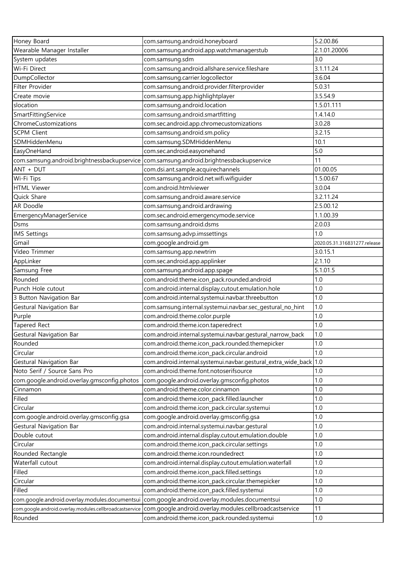| Honey Board                                             | com.samsung.android.honeyboard                                                                | 5.2.00.86                    |
|---------------------------------------------------------|-----------------------------------------------------------------------------------------------|------------------------------|
| Wearable Manager Installer                              | com.samsung.android.app.watchmanagerstub                                                      | 2.1.01.20006                 |
| System updates                                          | com.samsung.sdm                                                                               | 3.0                          |
| Wi-Fi Direct                                            | com.samsung.android.allshare.service.fileshare                                                | 3.1.11.24                    |
| DumpCollector                                           | com.samsung.carrier.logcollector                                                              | 3.6.04                       |
| Filter Provider                                         | com.samsung.android.provider.filterprovider                                                   | 5.0.31                       |
| Create movie                                            | com.samsung.app.highlightplayer                                                               | 3.5.54.9                     |
| slocation                                               | com.samsung.android.location                                                                  | 1.5.01.111                   |
| SmartFittingService                                     | com.samsung.android.smartfitting                                                              | 1.4.14.0                     |
| ChromeCustomizations                                    | com.sec.android.app.chromecustomizations                                                      | 3.0.28                       |
| <b>SCPM Client</b>                                      | com.samsung.android.sm.policy                                                                 | 3.2.15                       |
| SDMHiddenMenu                                           | com.samsung.SDMHiddenMenu                                                                     | 10.1                         |
| EasyOneHand                                             | com.sec.android.easyonehand                                                                   | 5.0                          |
| com.samsung.android.brightnessbackupservice             | com.samsung.android.brightnessbackupservice                                                   | 11                           |
| ANT + DUT                                               | com.dsi.ant.sample.acquirechannels                                                            | 01.00.05                     |
| Wi-Fi Tips                                              | com.samsung.android.net.wifi.wifiguider                                                       | 1.5.00.67                    |
| <b>HTML Viewer</b>                                      | com.android.htmlviewer                                                                        | 3.0.04                       |
| Quick Share                                             | com.samsung.android.aware.service                                                             | 3.2.11.24                    |
| AR Doodle                                               | com.samsung.android.ardrawing                                                                 | 2.5.00.12                    |
| EmergencyManagerService                                 | com.sec.android.emergencymode.service                                                         | 1.1.00.39                    |
| Dsms                                                    | com.samsung.android.dsms                                                                      | 2.0.03                       |
| IMS Settings                                            | com.samsung.advp.imssettings                                                                  | 1.0                          |
| Gmail                                                   | com.google.android.gm                                                                         | 2020.05.31.316831277.release |
| Video Trimmer                                           | com.samsung.app.newtrim                                                                       | 3.0.15.1                     |
| AppLinker                                               | com.sec.android.app.applinker                                                                 | 2.1.10                       |
| Samsung Free                                            | com.samsung.android.app.spage                                                                 | 5.1.01.5                     |
| Rounded                                                 | com.android.theme.icon_pack.rounded.android                                                   | 1.0                          |
| Punch Hole cutout                                       | com.android.internal.display.cutout.emulation.hole                                            | 1.0                          |
| 3 Button Navigation Bar                                 | com.android.internal.systemui.navbar.threebutton                                              | 1.0                          |
| Gestural Navigation Bar                                 | com.samsung.internal.systemui.navbar.sec_gestural_no_hint                                     | 1.0                          |
| Purple                                                  | com.android.theme.color.purple                                                                | 1.0                          |
| Tapered Rect                                            | com.android.theme.icon.taperedrect                                                            | 1.0                          |
| Gestural Navigation Bar                                 | com.android.internal.systemui.navbar.gestural_narrow_back                                     | 1.0                          |
| Rounded                                                 | com.android.theme.icon_pack.rounded.themepicker                                               | 1.0                          |
| Circular                                                | com.android.theme.icon_pack.circular.android                                                  | 1.0                          |
| Gestural Navigation Bar                                 | com.android.internal.systemui.navbar.gestural_extra_wide_back 1.0                             |                              |
| Noto Serif / Source Sans Pro                            | com.android.theme.font.notoserifsource                                                        | 1.0                          |
| com.google.android.overlay.gmsconfig.photos             | com.google.android.overlay.gmsconfig.photos                                                   | 1.0                          |
| Cinnamon                                                | com.android.theme.color.cinnamon                                                              | 1.0                          |
| Filled                                                  | com.android.theme.icon_pack.filled.launcher                                                   | 1.0                          |
| Circular                                                | com.android.theme.icon_pack.circular.systemui                                                 | 1.0                          |
| com.google.android.overlay.gmsconfig.gsa                | com.google.android.overlay.gmsconfig.gsa                                                      | 1.0                          |
| Gestural Navigation Bar                                 | com.android.internal.systemui.navbar.gestural                                                 | 1.0                          |
| Double cutout                                           | com.android.internal.display.cutout.emulation.double                                          | 1.0                          |
| Circular                                                | com.android.theme.icon_pack.circular.settings                                                 | 1.0                          |
| Rounded Rectangle                                       | com.android.theme.icon.roundedrect                                                            | 1.0                          |
| Waterfall cutout                                        | com.android.internal.display.cutout.emulation.waterfall                                       | 1.0                          |
| Filled                                                  | com.android.theme.icon_pack.filled.settings                                                   | 1.0                          |
| Circular                                                | com.android.theme.icon_pack.circular.themepicker                                              | 1.0                          |
| Filled                                                  | com.android.theme.icon_pack.filled.systemui                                                   | 1.0                          |
|                                                         | com.google.android.overlay.modules.documentsui com.google.android.overlay.modules.documentsui | 1.0                          |
| com.google.android.overlay.modules.cellbroadcastservice | com.google.android.overlay.modules.cellbroadcastservice                                       | 11                           |
| Rounded                                                 | com.android.theme.icon_pack.rounded.systemui                                                  | 1.0                          |
|                                                         |                                                                                               |                              |